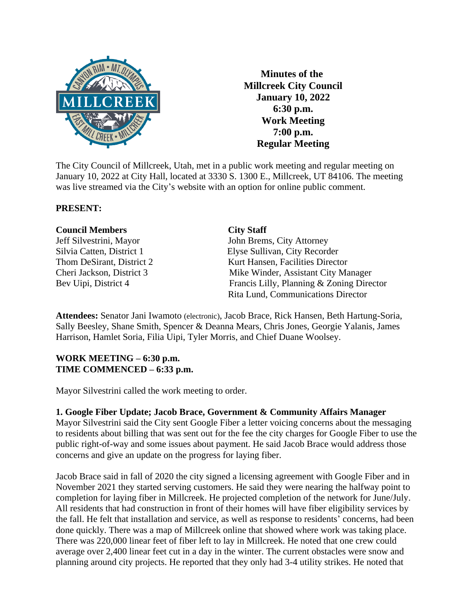

**Minutes of the Millcreek City Council January 10, 2022 6:30 p.m. Work Meeting 7:00 p.m. Regular Meeting**

The City Council of Millcreek, Utah, met in a public work meeting and regular meeting on January 10, 2022 at City Hall, located at 3330 S. 1300 E., Millcreek, UT 84106. The meeting was live streamed via the City's website with an option for online public comment.

## **PRESENT:**

#### **Council Members** City Staff

Jeff Silvestrini, Mayor John Brems, City Attorney Silvia Catten, District 1 Elyse Sullivan, City Recorder Thom DeSirant, District 2 Kurt Hansen, Facilities Director Cheri Jackson, District 3 Mike Winder, Assistant City Manager Bev Uipi, District 4 Francis Lilly, Planning & Zoning Director Rita Lund, Communications Director

**Attendees:** Senator Jani Iwamoto (electronic), Jacob Brace, Rick Hansen, Beth Hartung-Soria, Sally Beesley, Shane Smith, Spencer & Deanna Mears, Chris Jones, Georgie Yalanis, James Harrison, Hamlet Soria, Filia Uipi, Tyler Morris, and Chief Duane Woolsey.

## **WORK MEETING – 6:30 p.m. TIME COMMENCED – 6:33 p.m.**

Mayor Silvestrini called the work meeting to order.

## **1. Google Fiber Update; Jacob Brace, Government & Community Affairs Manager**

Mayor Silvestrini said the City sent Google Fiber a letter voicing concerns about the messaging to residents about billing that was sent out for the fee the city charges for Google Fiber to use the public right-of-way and some issues about payment. He said Jacob Brace would address those concerns and give an update on the progress for laying fiber.

Jacob Brace said in fall of 2020 the city signed a licensing agreement with Google Fiber and in November 2021 they started serving customers. He said they were nearing the halfway point to completion for laying fiber in Millcreek. He projected completion of the network for June/July. All residents that had construction in front of their homes will have fiber eligibility services by the fall. He felt that installation and service, as well as response to residents' concerns, had been done quickly. There was a map of Millcreek online that showed where work was taking place. There was 220,000 linear feet of fiber left to lay in Millcreek. He noted that one crew could average over 2,400 linear feet cut in a day in the winter. The current obstacles were snow and planning around city projects. He reported that they only had 3-4 utility strikes. He noted that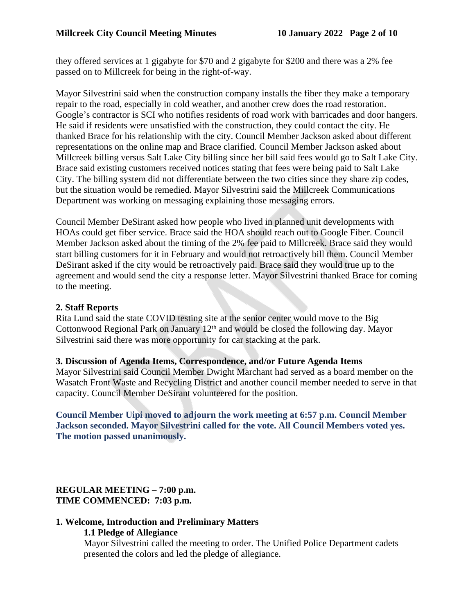they offered services at 1 gigabyte for \$70 and 2 gigabyte for \$200 and there was a 2% fee passed on to Millcreek for being in the right-of-way.

Mayor Silvestrini said when the construction company installs the fiber they make a temporary repair to the road, especially in cold weather, and another crew does the road restoration. Google's contractor is SCI who notifies residents of road work with barricades and door hangers. He said if residents were unsatisfied with the construction, they could contact the city. He thanked Brace for his relationship with the city. Council Member Jackson asked about different representations on the online map and Brace clarified. Council Member Jackson asked about Millcreek billing versus Salt Lake City billing since her bill said fees would go to Salt Lake City. Brace said existing customers received notices stating that fees were being paid to Salt Lake City. The billing system did not differentiate between the two cities since they share zip codes, but the situation would be remedied. Mayor Silvestrini said the Millcreek Communications Department was working on messaging explaining those messaging errors.

Council Member DeSirant asked how people who lived in planned unit developments with HOAs could get fiber service. Brace said the HOA should reach out to Google Fiber. Council Member Jackson asked about the timing of the 2% fee paid to Millcreek. Brace said they would start billing customers for it in February and would not retroactively bill them. Council Member DeSirant asked if the city would be retroactively paid. Brace said they would true up to the agreement and would send the city a response letter. Mayor Silvestrini thanked Brace for coming to the meeting.

# **2. Staff Reports**

Rita Lund said the state COVID testing site at the senior center would move to the Big Cottonwood Regional Park on January  $12<sup>th</sup>$  and would be closed the following day. Mayor Silvestrini said there was more opportunity for car stacking at the park.

## **3. Discussion of Agenda Items, Correspondence, and/or Future Agenda Items**

Mayor Silvestrini said Council Member Dwight Marchant had served as a board member on the Wasatch Front Waste and Recycling District and another council member needed to serve in that capacity. Council Member DeSirant volunteered for the position.

## **Council Member Uipi moved to adjourn the work meeting at 6:57 p.m. Council Member Jackson seconded. Mayor Silvestrini called for the vote. All Council Members voted yes. The motion passed unanimously.**

# **REGULAR MEETING – 7:00 p.m. TIME COMMENCED: 7:03 p.m.**

# **1. Welcome, Introduction and Preliminary Matters**

## **1.1 Pledge of Allegiance**

Mayor Silvestrini called the meeting to order. The Unified Police Department cadets presented the colors and led the pledge of allegiance.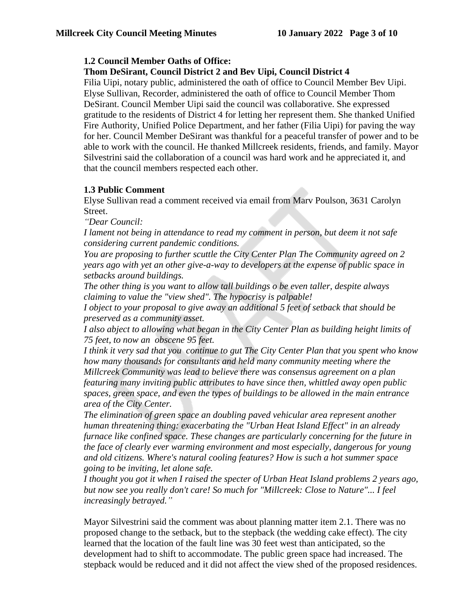## **1.2 Council Member Oaths of Office:**

## **Thom DeSirant, Council District 2 and Bev Uipi, Council District 4**

Filia Uipi, notary public, administered the oath of office to Council Member Bev Uipi. Elyse Sullivan, Recorder, administered the oath of office to Council Member Thom DeSirant. Council Member Uipi said the council was collaborative. She expressed gratitude to the residents of District 4 for letting her represent them. She thanked Unified Fire Authority, Unified Police Department, and her father (Filia Uipi) for paving the way for her. Council Member DeSirant was thankful for a peaceful transfer of power and to be able to work with the council. He thanked Millcreek residents, friends, and family. Mayor Silvestrini said the collaboration of a council was hard work and he appreciated it, and that the council members respected each other.

## **1.3 Public Comment**

Elyse Sullivan read a comment received via email from Marv Poulson, 3631 Carolyn Street.

*"Dear Council:*

*I lament not being in attendance to read my comment in person, but deem it not safe considering current pandemic conditions.*

*You are proposing to further scuttle the City Center Plan The Community agreed on 2 years ago with yet an other give-a-way to developers at the expense of public space in setbacks around buildings.*

*The other thing is you want to allow tall buildings o be even taller, despite always claiming to value the "view shed". The hypocrisy is palpable!*

*I object to your proposal to give away an additional 5 feet of setback that should be preserved as a community asset.*

*I also abject to allowing what began in the City Center Plan as building height limits of 75 feet, to now an obscene 95 feet.*

*I think it very sad that you continue to gut The City Center Plan that you spent who know how many thousands for consultants and held many community meeting where the Millcreek Community was lead to believe there was consensus agreement on a plan featuring many inviting public attributes to have since then, whittled away open public spaces, green space, and even the types of buildings to be allowed in the main entrance area of the City Center.*

*The elimination of green space an doubling paved vehicular area represent another human threatening thing: exacerbating the "Urban Heat Island Effect" in an already furnace like confined space. These changes are particularly concerning for the future in the face of clearly ever warming environment and most especially, dangerous for young and old citizens. Where's natural cooling features? How is such a hot summer space going to be inviting, let alone safe.*

*I thought you got it when I raised the specter of Urban Heat Island problems 2 years ago, but now see you really don't care! So much for "Millcreek: Close to Nature"... I feel increasingly betrayed."*

Mayor Silvestrini said the comment was about planning matter item 2.1. There was no proposed change to the setback, but to the stepback (the wedding cake effect). The city learned that the location of the fault line was 30 feet west than anticipated, so the development had to shift to accommodate. The public green space had increased. The stepback would be reduced and it did not affect the view shed of the proposed residences.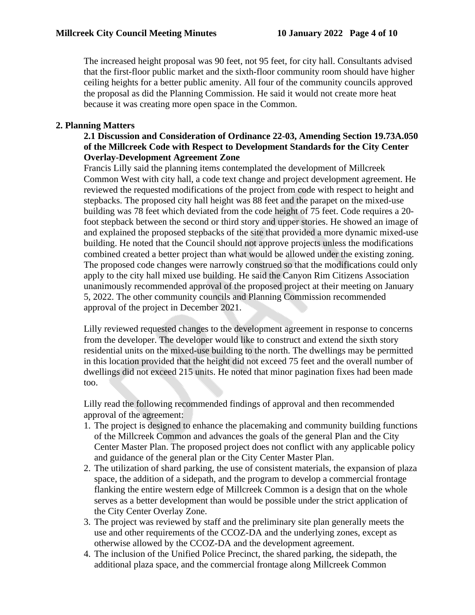The increased height proposal was 90 feet, not 95 feet, for city hall. Consultants advised that the first-floor public market and the sixth-floor community room should have higher ceiling heights for a better public amenity. All four of the community councils approved the proposal as did the Planning Commission. He said it would not create more heat because it was creating more open space in the Common.

## **2. Planning Matters**

## **2.1 Discussion and Consideration of Ordinance 22-03, Amending Section 19.73A.050 of the Millcreek Code with Respect to Development Standards for the City Center Overlay-Development Agreement Zone**

Francis Lilly said the planning items contemplated the development of Millcreek Common West with city hall, a code text change and project development agreement. He reviewed the requested modifications of the project from code with respect to height and stepbacks. The proposed city hall height was 88 feet and the parapet on the mixed-use building was 78 feet which deviated from the code height of 75 feet. Code requires a 20 foot stepback between the second or third story and upper stories. He showed an image of and explained the proposed stepbacks of the site that provided a more dynamic mixed-use building. He noted that the Council should not approve projects unless the modifications combined created a better project than what would be allowed under the existing zoning. The proposed code changes were narrowly construed so that the modifications could only apply to the city hall mixed use building. He said the Canyon Rim Citizens Association unanimously recommended approval of the proposed project at their meeting on January 5, 2022. The other community councils and Planning Commission recommended approval of the project in December 2021.

Lilly reviewed requested changes to the development agreement in response to concerns from the developer. The developer would like to construct and extend the sixth story residential units on the mixed-use building to the north. The dwellings may be permitted in this location provided that the height did not exceed 75 feet and the overall number of dwellings did not exceed 215 units. He noted that minor pagination fixes had been made too.

Lilly read the following recommended findings of approval and then recommended approval of the agreement:

- 1. The project is designed to enhance the placemaking and community building functions of the Millcreek Common and advances the goals of the general Plan and the City Center Master Plan. The proposed project does not conflict with any applicable policy and guidance of the general plan or the City Center Master Plan.
- 2. The utilization of shard parking, the use of consistent materials, the expansion of plaza space, the addition of a sidepath, and the program to develop a commercial frontage flanking the entire western edge of Millcreek Common is a design that on the whole serves as a better development than would be possible under the strict application of the City Center Overlay Zone.
- 3. The project was reviewed by staff and the preliminary site plan generally meets the use and other requirements of the CCOZ-DA and the underlying zones, except as otherwise allowed by the CCOZ-DA and the development agreement.
- 4. The inclusion of the Unified Police Precinct, the shared parking, the sidepath, the additional plaza space, and the commercial frontage along Millcreek Common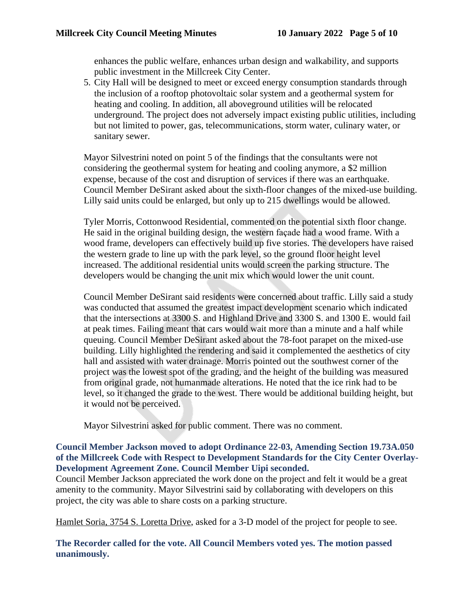enhances the public welfare, enhances urban design and walkability, and supports public investment in the Millcreek City Center.

5. City Hall will be designed to meet or exceed energy consumption standards through the inclusion of a rooftop photovoltaic solar system and a geothermal system for heating and cooling. In addition, all aboveground utilities will be relocated underground. The project does not adversely impact existing public utilities, including but not limited to power, gas, telecommunications, storm water, culinary water, or sanitary sewer.

Mayor Silvestrini noted on point 5 of the findings that the consultants were not considering the geothermal system for heating and cooling anymore, a \$2 million expense, because of the cost and disruption of services if there was an earthquake. Council Member DeSirant asked about the sixth-floor changes of the mixed-use building. Lilly said units could be enlarged, but only up to 215 dwellings would be allowed.

Tyler Morris, Cottonwood Residential, commented on the potential sixth floor change. He said in the original building design, the western façade had a wood frame. With a wood frame, developers can effectively build up five stories. The developers have raised the western grade to line up with the park level, so the ground floor height level increased. The additional residential units would screen the parking structure. The developers would be changing the unit mix which would lower the unit count.

Council Member DeSirant said residents were concerned about traffic. Lilly said a study was conducted that assumed the greatest impact development scenario which indicated that the intersections at 3300 S. and Highland Drive and 3300 S. and 1300 E. would fail at peak times. Failing meant that cars would wait more than a minute and a half while queuing. Council Member DeSirant asked about the 78-foot parapet on the mixed-use building. Lilly highlighted the rendering and said it complemented the aesthetics of city hall and assisted with water drainage. Morris pointed out the southwest corner of the project was the lowest spot of the grading, and the height of the building was measured from original grade, not humanmade alterations. He noted that the ice rink had to be level, so it changed the grade to the west. There would be additional building height, but it would not be perceived.

Mayor Silvestrini asked for public comment. There was no comment.

#### **Council Member Jackson moved to adopt Ordinance 22-03, Amending Section 19.73A.050 of the Millcreek Code with Respect to Development Standards for the City Center Overlay-Development Agreement Zone. Council Member Uipi seconded.**

Council Member Jackson appreciated the work done on the project and felt it would be a great amenity to the community. Mayor Silvestrini said by collaborating with developers on this project, the city was able to share costs on a parking structure.

Hamlet Soria, 3754 S. Loretta Drive, asked for a 3-D model of the project for people to see.

## **The Recorder called for the vote. All Council Members voted yes. The motion passed unanimously.**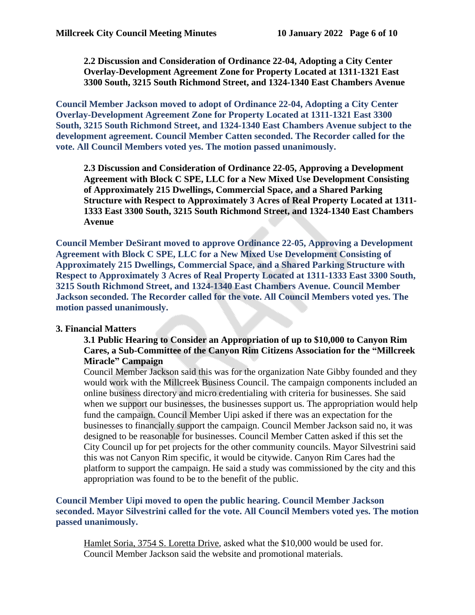**2.2 Discussion and Consideration of Ordinance 22-04, Adopting a City Center Overlay-Development Agreement Zone for Property Located at 1311-1321 East 3300 South, 3215 South Richmond Street, and 1324-1340 East Chambers Avenue**

**Council Member Jackson moved to adopt of Ordinance 22-04, Adopting a City Center Overlay-Development Agreement Zone for Property Located at 1311-1321 East 3300 South, 3215 South Richmond Street, and 1324-1340 East Chambers Avenue subject to the development agreement. Council Member Catten seconded. The Recorder called for the vote. All Council Members voted yes. The motion passed unanimously.**

**2.3 Discussion and Consideration of Ordinance 22-05, Approving a Development Agreement with Block C SPE, LLC for a New Mixed Use Development Consisting of Approximately 215 Dwellings, Commercial Space, and a Shared Parking Structure with Respect to Approximately 3 Acres of Real Property Located at 1311- 1333 East 3300 South, 3215 South Richmond Street, and 1324-1340 East Chambers Avenue**

**Council Member DeSirant moved to approve Ordinance 22-05, Approving a Development Agreement with Block C SPE, LLC for a New Mixed Use Development Consisting of Approximately 215 Dwellings, Commercial Space, and a Shared Parking Structure with Respect to Approximately 3 Acres of Real Property Located at 1311-1333 East 3300 South, 3215 South Richmond Street, and 1324-1340 East Chambers Avenue. Council Member Jackson seconded. The Recorder called for the vote. All Council Members voted yes. The motion passed unanimously.**

#### **3. Financial Matters**

#### **3.1 Public Hearing to Consider an Appropriation of up to \$10,000 to Canyon Rim Cares, a Sub-Committee of the Canyon Rim Citizens Association for the "Millcreek Miracle" Campaign**

Council Member Jackson said this was for the organization Nate Gibby founded and they would work with the Millcreek Business Council. The campaign components included an online business directory and micro credentialing with criteria for businesses. She said when we support our businesses, the businesses support us. The appropriation would help fund the campaign. Council Member Uipi asked if there was an expectation for the businesses to financially support the campaign. Council Member Jackson said no, it was designed to be reasonable for businesses. Council Member Catten asked if this set the City Council up for pet projects for the other community councils. Mayor Silvestrini said this was not Canyon Rim specific, it would be citywide. Canyon Rim Cares had the platform to support the campaign. He said a study was commissioned by the city and this appropriation was found to be to the benefit of the public.

#### **Council Member Uipi moved to open the public hearing. Council Member Jackson seconded. Mayor Silvestrini called for the vote. All Council Members voted yes. The motion passed unanimously.**

Hamlet Soria, 3754 S. Loretta Drive, asked what the \$10,000 would be used for. Council Member Jackson said the website and promotional materials.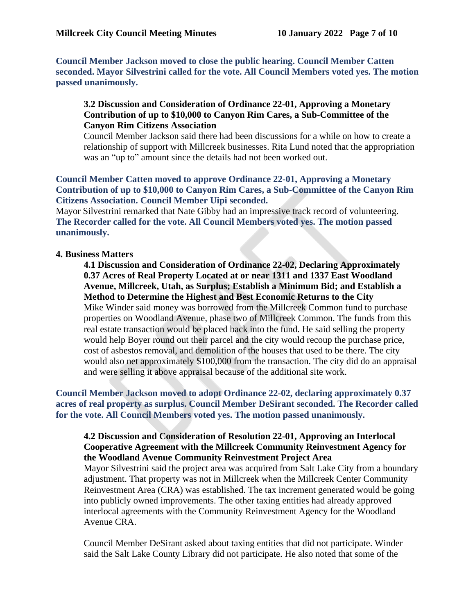**Council Member Jackson moved to close the public hearing. Council Member Catten seconded. Mayor Silvestrini called for the vote. All Council Members voted yes. The motion passed unanimously.**

#### **3.2 Discussion and Consideration of Ordinance 22-01, Approving a Monetary Contribution of up to \$10,000 to Canyon Rim Cares, a Sub-Committee of the Canyon Rim Citizens Association**

Council Member Jackson said there had been discussions for a while on how to create a relationship of support with Millcreek businesses. Rita Lund noted that the appropriation was an "up to" amount since the details had not been worked out.

## **Council Member Catten moved to approve Ordinance 22-01, Approving a Monetary Contribution of up to \$10,000 to Canyon Rim Cares, a Sub-Committee of the Canyon Rim Citizens Association. Council Member Uipi seconded.**

Mayor Silvestrini remarked that Nate Gibby had an impressive track record of volunteering. **The Recorder called for the vote. All Council Members voted yes. The motion passed unanimously.**

## **4. Business Matters**

**4.1 Discussion and Consideration of Ordinance 22-02, Declaring Approximately 0.37 Acres of Real Property Located at or near 1311 and 1337 East Woodland Avenue, Millcreek, Utah, as Surplus; Establish a Minimum Bid; and Establish a Method to Determine the Highest and Best Economic Returns to the City** Mike Winder said money was borrowed from the Millcreek Common fund to purchase properties on Woodland Avenue, phase two of Millcreek Common. The funds from this real estate transaction would be placed back into the fund. He said selling the property would help Boyer round out their parcel and the city would recoup the purchase price, cost of asbestos removal, and demolition of the houses that used to be there. The city would also net approximately \$100,000 from the transaction. The city did do an appraisal and were selling it above appraisal because of the additional site work.

**Council Member Jackson moved to adopt Ordinance 22-02, declaring approximately 0.37 acres of real property as surplus. Council Member DeSirant seconded. The Recorder called for the vote. All Council Members voted yes. The motion passed unanimously.**

## **4.2 Discussion and Consideration of Resolution 22-01, Approving an Interlocal Cooperative Agreement with the Millcreek Community Reinvestment Agency for the Woodland Avenue Community Reinvestment Project Area**

Mayor Silvestrini said the project area was acquired from Salt Lake City from a boundary adjustment. That property was not in Millcreek when the Millcreek Center Community Reinvestment Area (CRA) was established. The tax increment generated would be going into publicly owned improvements. The other taxing entities had already approved interlocal agreements with the Community Reinvestment Agency for the Woodland Avenue CRA.

Council Member DeSirant asked about taxing entities that did not participate. Winder said the Salt Lake County Library did not participate. He also noted that some of the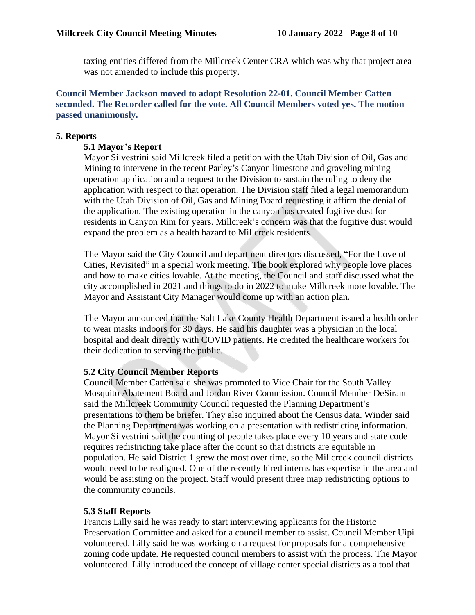taxing entities differed from the Millcreek Center CRA which was why that project area was not amended to include this property.

#### **Council Member Jackson moved to adopt Resolution 22-01. Council Member Catten seconded. The Recorder called for the vote. All Council Members voted yes. The motion passed unanimously.**

#### **5. Reports**

## **5.1 Mayor's Report**

Mayor Silvestrini said Millcreek filed a petition with the Utah Division of Oil, Gas and Mining to intervene in the recent Parley's Canyon limestone and graveling mining operation application and a request to the Division to sustain the ruling to deny the application with respect to that operation. The Division staff filed a legal memorandum with the Utah Division of Oil, Gas and Mining Board requesting it affirm the denial of the application. The existing operation in the canyon has created fugitive dust for residents in Canyon Rim for years. Millcreek's concern was that the fugitive dust would expand the problem as a health hazard to Millcreek residents.

The Mayor said the City Council and department directors discussed, "For the Love of Cities, Revisited" in a special work meeting. The book explored why people love places and how to make cities lovable. At the meeting, the Council and staff discussed what the city accomplished in 2021 and things to do in 2022 to make Millcreek more lovable. The Mayor and Assistant City Manager would come up with an action plan.

The Mayor announced that the Salt Lake County Health Department issued a health order to wear masks indoors for 30 days. He said his daughter was a physician in the local hospital and dealt directly with COVID patients. He credited the healthcare workers for their dedication to serving the public.

## **5.2 City Council Member Reports**

Council Member Catten said she was promoted to Vice Chair for the South Valley Mosquito Abatement Board and Jordan River Commission. Council Member DeSirant said the Millcreek Community Council requested the Planning Department's presentations to them be briefer. They also inquired about the Census data. Winder said the Planning Department was working on a presentation with redistricting information. Mayor Silvestrini said the counting of people takes place every 10 years and state code requires redistricting take place after the count so that districts are equitable in population. He said District 1 grew the most over time, so the Millcreek council districts would need to be realigned. One of the recently hired interns has expertise in the area and would be assisting on the project. Staff would present three map redistricting options to the community councils.

## **5.3 Staff Reports**

Francis Lilly said he was ready to start interviewing applicants for the Historic Preservation Committee and asked for a council member to assist. Council Member Uipi volunteered. Lilly said he was working on a request for proposals for a comprehensive zoning code update. He requested council members to assist with the process. The Mayor volunteered. Lilly introduced the concept of village center special districts as a tool that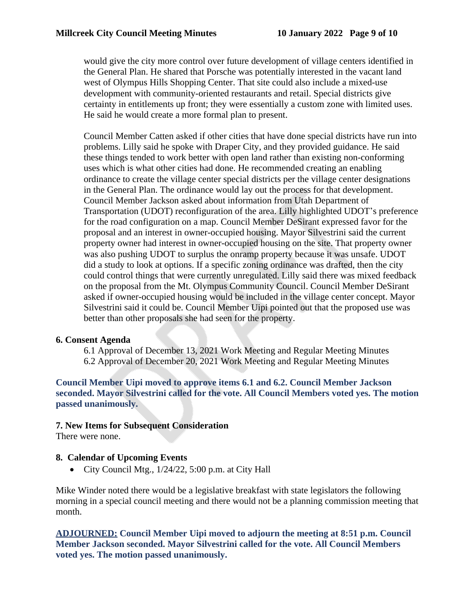would give the city more control over future development of village centers identified in the General Plan. He shared that Porsche was potentially interested in the vacant land west of Olympus Hills Shopping Center. That site could also include a mixed-use development with community-oriented restaurants and retail. Special districts give certainty in entitlements up front; they were essentially a custom zone with limited uses. He said he would create a more formal plan to present.

Council Member Catten asked if other cities that have done special districts have run into problems. Lilly said he spoke with Draper City, and they provided guidance. He said these things tended to work better with open land rather than existing non-conforming uses which is what other cities had done. He recommended creating an enabling ordinance to create the village center special districts per the village center designations in the General Plan. The ordinance would lay out the process for that development. Council Member Jackson asked about information from Utah Department of Transportation (UDOT) reconfiguration of the area. Lilly highlighted UDOT's preference for the road configuration on a map. Council Member DeSirant expressed favor for the proposal and an interest in owner-occupied housing. Mayor Silvestrini said the current property owner had interest in owner-occupied housing on the site. That property owner was also pushing UDOT to surplus the onramp property because it was unsafe. UDOT did a study to look at options. If a specific zoning ordinance was drafted, then the city could control things that were currently unregulated. Lilly said there was mixed feedback on the proposal from the Mt. Olympus Community Council. Council Member DeSirant asked if owner-occupied housing would be included in the village center concept. Mayor Silvestrini said it could be. Council Member Uipi pointed out that the proposed use was better than other proposals she had seen for the property.

#### **6. Consent Agenda**

6.1 Approval of December 13, 2021 Work Meeting and Regular Meeting Minutes 6.2 Approval of December 20, 2021 Work Meeting and Regular Meeting Minutes

**Council Member Uipi moved to approve items 6.1 and 6.2. Council Member Jackson seconded. Mayor Silvestrini called for the vote. All Council Members voted yes. The motion passed unanimously.**

## **7. New Items for Subsequent Consideration**

There were none.

## **8. Calendar of Upcoming Events**

• City Council Mtg.,  $1/24/22$ ,  $5:00$  p.m. at City Hall

Mike Winder noted there would be a legislative breakfast with state legislators the following morning in a special council meeting and there would not be a planning commission meeting that month.

**ADJOURNED: Council Member Uipi moved to adjourn the meeting at 8:51 p.m. Council Member Jackson seconded. Mayor Silvestrini called for the vote. All Council Members voted yes. The motion passed unanimously.**